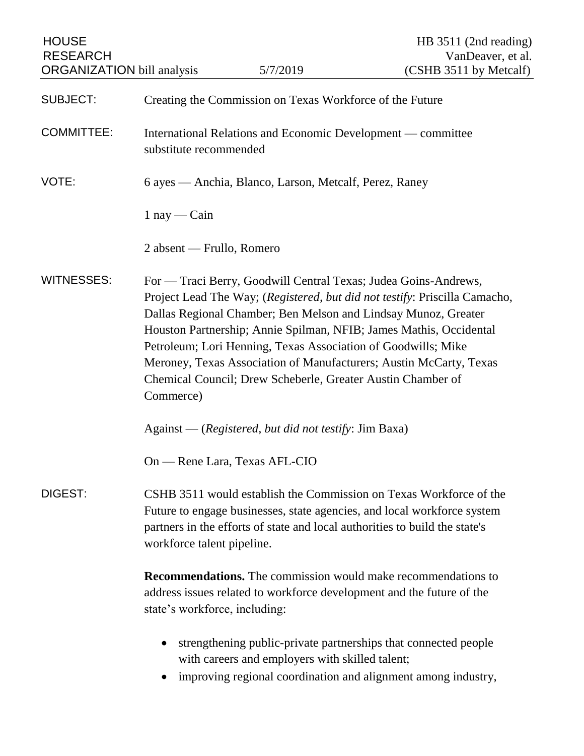| <b>HOUSE</b><br><b>RESEARCH</b><br><b>ORGANIZATION</b> bill analysis |                                                                                                                                                                                                                                                                                                                                                                                                                                                                                                          | 5/7/2019                                        | HB 3511 (2nd reading)<br>VanDeaver, et al.<br>(CSHB 3511 by Metcalf)                                                             |  |
|----------------------------------------------------------------------|----------------------------------------------------------------------------------------------------------------------------------------------------------------------------------------------------------------------------------------------------------------------------------------------------------------------------------------------------------------------------------------------------------------------------------------------------------------------------------------------------------|-------------------------------------------------|----------------------------------------------------------------------------------------------------------------------------------|--|
| <b>SUBJECT:</b>                                                      | Creating the Commission on Texas Workforce of the Future                                                                                                                                                                                                                                                                                                                                                                                                                                                 |                                                 |                                                                                                                                  |  |
| <b>COMMITTEE:</b>                                                    | International Relations and Economic Development — committee<br>substitute recommended                                                                                                                                                                                                                                                                                                                                                                                                                   |                                                 |                                                                                                                                  |  |
| VOTE:                                                                | 6 ayes — Anchia, Blanco, Larson, Metcalf, Perez, Raney                                                                                                                                                                                                                                                                                                                                                                                                                                                   |                                                 |                                                                                                                                  |  |
|                                                                      | $1$ nay — Cain                                                                                                                                                                                                                                                                                                                                                                                                                                                                                           |                                                 |                                                                                                                                  |  |
|                                                                      | 2 absent — Frullo, Romero                                                                                                                                                                                                                                                                                                                                                                                                                                                                                |                                                 |                                                                                                                                  |  |
| <b>WITNESSES:</b>                                                    | For — Traci Berry, Goodwill Central Texas; Judea Goins-Andrews,<br>Project Lead The Way; (Registered, but did not testify: Priscilla Camacho,<br>Dallas Regional Chamber; Ben Melson and Lindsay Munoz, Greater<br>Houston Partnership; Annie Spilman, NFIB; James Mathis, Occidental<br>Petroleum; Lori Henning, Texas Association of Goodwills; Mike<br>Meroney, Texas Association of Manufacturers; Austin McCarty, Texas<br>Chemical Council; Drew Scheberle, Greater Austin Chamber of<br>Commerce) |                                                 |                                                                                                                                  |  |
|                                                                      | Against — (Registered, but did not testify: Jim Baxa)                                                                                                                                                                                                                                                                                                                                                                                                                                                    |                                                 |                                                                                                                                  |  |
|                                                                      |                                                                                                                                                                                                                                                                                                                                                                                                                                                                                                          | On — Rene Lara, Texas AFL-CIO                   |                                                                                                                                  |  |
| DIGEST:                                                              | CSHB 3511 would establish the Commission on Texas Workforce of the<br>Future to engage businesses, state agencies, and local workforce system<br>partners in the efforts of state and local authorities to build the state's<br>workforce talent pipeline.                                                                                                                                                                                                                                               |                                                 |                                                                                                                                  |  |
|                                                                      | <b>Recommendations.</b> The commission would make recommendations to<br>address issues related to workforce development and the future of the<br>state's workforce, including:                                                                                                                                                                                                                                                                                                                           |                                                 |                                                                                                                                  |  |
|                                                                      |                                                                                                                                                                                                                                                                                                                                                                                                                                                                                                          | with careers and employers with skilled talent; | strengthening public-private partnerships that connected people<br>improving regional coordination and alignment among industry, |  |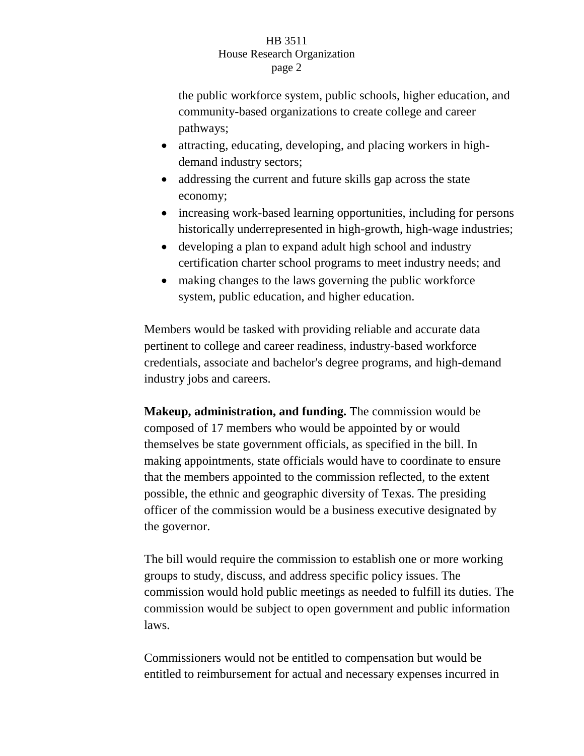## HB 3511 House Research Organization page 2

the public workforce system, public schools, higher education, and community-based organizations to create college and career pathways;

- attracting, educating, developing, and placing workers in highdemand industry sectors;
- addressing the current and future skills gap across the state economy;
- increasing work-based learning opportunities, including for persons historically underrepresented in high-growth, high-wage industries;
- developing a plan to expand adult high school and industry certification charter school programs to meet industry needs; and
- making changes to the laws governing the public workforce system, public education, and higher education.

Members would be tasked with providing reliable and accurate data pertinent to college and career readiness, industry-based workforce credentials, associate and bachelor's degree programs, and high-demand industry jobs and careers.

**Makeup, administration, and funding.** The commission would be composed of 17 members who would be appointed by or would themselves be state government officials, as specified in the bill. In making appointments, state officials would have to coordinate to ensure that the members appointed to the commission reflected, to the extent possible, the ethnic and geographic diversity of Texas. The presiding officer of the commission would be a business executive designated by the governor.

The bill would require the commission to establish one or more working groups to study, discuss, and address specific policy issues. The commission would hold public meetings as needed to fulfill its duties. The commission would be subject to open government and public information laws.

Commissioners would not be entitled to compensation but would be entitled to reimbursement for actual and necessary expenses incurred in